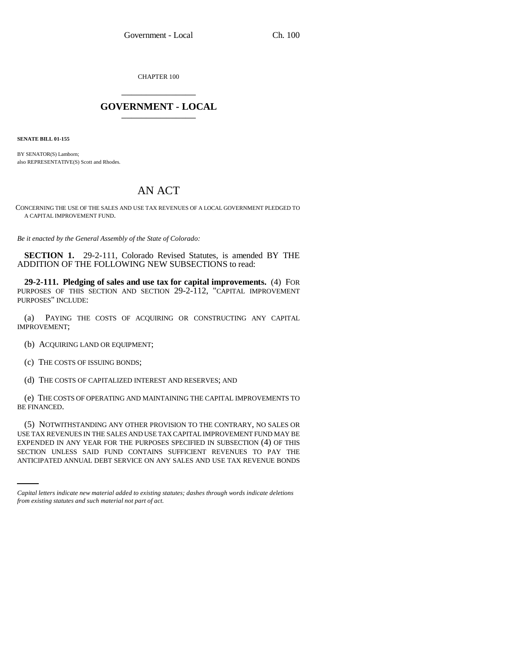CHAPTER 100 \_\_\_\_\_\_\_\_\_\_\_\_\_\_\_

## **GOVERNMENT - LOCAL** \_\_\_\_\_\_\_\_\_\_\_\_\_\_\_

**SENATE BILL 01-155**

BY SENATOR(S) Lamborn; also REPRESENTATIVE(S) Scott and Rhodes.

## AN ACT

CONCERNING THE USE OF THE SALES AND USE TAX REVENUES OF A LOCAL GOVERNMENT PLEDGED TO A CAPITAL IMPROVEMENT FUND.

*Be it enacted by the General Assembly of the State of Colorado:*

**SECTION 1.** 29-2-111, Colorado Revised Statutes, is amended BY THE ADDITION OF THE FOLLOWING NEW SUBSECTIONS to read:

**29-2-111. Pledging of sales and use tax for capital improvements.** (4) FOR PURPOSES OF THIS SECTION AND SECTION 29-2-112, "CAPITAL IMPROVEMENT PURPOSES" INCLUDE:

(a) PAYING THE COSTS OF ACQUIRING OR CONSTRUCTING ANY CAPITAL IMPROVEMENT;

(b) ACQUIRING LAND OR EQUIPMENT;

(c) THE COSTS OF ISSUING BONDS;

(d) THE COSTS OF CAPITALIZED INTEREST AND RESERVES; AND

(e) THE COSTS OF OPERATING AND MAINTAINING THE CAPITAL IMPROVEMENTS TO BE FINANCED.

EXPENDED IN ANY YEAR FOR THE PURPOSES SPECIFIED IN SUBSECTION (4) OF THIS (5) NOTWITHSTANDING ANY OTHER PROVISION TO THE CONTRARY, NO SALES OR USE TAX REVENUES IN THE SALES AND USE TAX CAPITAL IMPROVEMENT FUND MAY BE SECTION UNLESS SAID FUND CONTAINS SUFFICIENT REVENUES TO PAY THE ANTICIPATED ANNUAL DEBT SERVICE ON ANY SALES AND USE TAX REVENUE BONDS

*Capital letters indicate new material added to existing statutes; dashes through words indicate deletions from existing statutes and such material not part of act.*